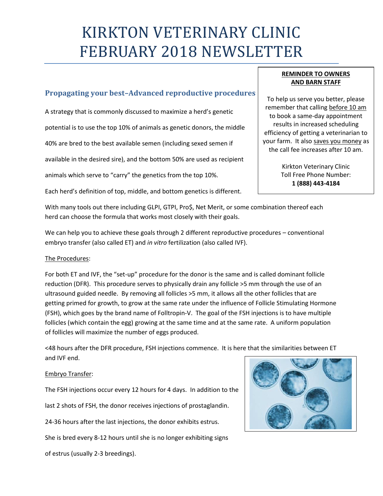# KIRKTON VETERINARY CLINIC FEBRUARY 2018 NEWSLETTER

# **Propagating your best–Advanced reproductive procedures**

A strategy that is commonly discussed to maximize a herd's genetic potential is to use the top 10% of animals as genetic donors, the middle 40% are bred to the best available semen (including sexed semen if available in the desired sire), and the bottom 50% are used as recipient

animals which serve to "carry" the genetics from the top 10%.

Each herd's definition of top, middle, and bottom genetics is different.

### **REMINDER TO OWNERS AND BARN STAFF**

To help us serve you better, please remember that calling before 10 am to book a same-day appointment results in increased scheduling efficiency of getting a veterinarian to your farm. It also saves you money as the call fee increases after 10 am.

> Kirkton Veterinary Clinic Toll Free Phone Number: **1 (888) 443-4184**

With many tools out there including GLPI, GTPI, Pro\$, Net Merit, or some combination thereof each herd can choose the formula that works most closely with their goals.

We can help you to achieve these goals through 2 different reproductive procedures – conventional embryo transfer (also called ET) and *in vitro* fertilization (also called IVF).

# The Procedures:

For both ET and IVF, the "set-up" procedure for the donor is the same and is called dominant follicle reduction (DFR). This procedure serves to physically drain any follicle >5 mm through the use of an ultrasound guided needle. By removing all follicles >5 mm, it allows all the other follicles that are getting primed for growth, to grow at the same rate under the influence of Follicle Stimulating Hormone (FSH), which goes by the brand name of Folltropin-V. The goal of the FSH injections is to have multiple follicles (which contain the egg) growing at the same time and at the same rate. A uniform population of follicles will maximize the number of eggs produced.

<48 hours after the DFR procedure, FSH injections commence. It is here that the similarities between ET and IVF end.

#### Embryo Transfer:

The FSH injections occur every 12 hours for 4 days. In addition to the

last 2 shots of FSH, the donor receives injections of prostaglandin.

24-36 hours after the last injections, the donor exhibits estrus.

She is bred every 8-12 hours until she is no longer exhibiting signs

of estrus (usually 2-3 breedings).